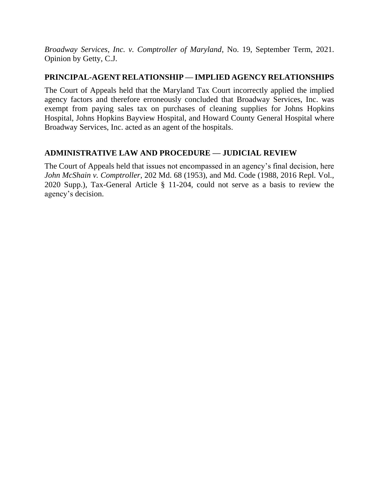*Broadway Services, Inc. v. Comptroller of Maryland*, No. 19, September Term, 2021. Opinion by Getty, C.J.

# **PRINCIPAL-AGENT RELATIONSHIP — IMPLIED AGENCY RELATIONSHIPS**

The Court of Appeals held that the Maryland Tax Court incorrectly applied the implied agency factors and therefore erroneously concluded that Broadway Services, Inc. was exempt from paying sales tax on purchases of cleaning supplies for Johns Hopkins Hospital, Johns Hopkins Bayview Hospital, and Howard County General Hospital where Broadway Services, Inc. acted as an agent of the hospitals.

# **ADMINISTRATIVE LAW AND PROCEDURE — JUDICIAL REVIEW**

The Court of Appeals held that issues not encompassed in an agency's final decision, here *John McShain v. Comptroller*, 202 Md. 68 (1953), and Md. Code (1988, 2016 Repl. Vol., 2020 Supp.), Tax-General Article § 11-204, could not serve as a basis to review the agency's decision.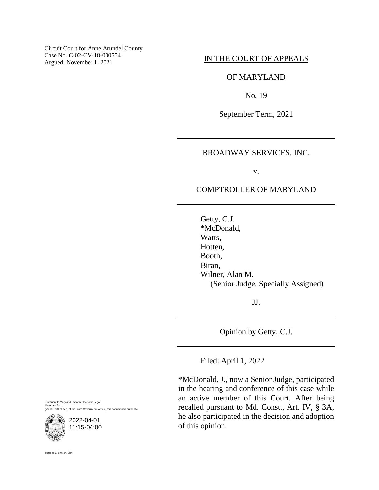Circuit Court for Anne Arundel County Case No. C-02-CV-18-000554 Case No. C-02-CV-18-000554<br>Argued: November 1, 2021<br>**IN THE COURT OF APPEALS** 

#### OF MARYLAND

No. 19

September Term, 2021

## BROADWAY SERVICES, INC.

v.

# COMPTROLLER OF MARYLAND

Getty, C.J. \*McDonald, Watts, Hotten, Booth, Biran, Wilner, Alan M. (Senior Judge, Specially Assigned)

JJ.

Opinion by Getty, C.J.

Filed: April 1, 2022

\*McDonald, J., now a Senior Judge, participated in the hearing and conference of this case while an active member of this Court. After being recalled pursuant to Md. Const., Art. IV, § 3A, he also participated in the decision and adoption of this opinion.

Pursuant to Maryland Uniform Electronic Legal Materials Act (§§ 10-1601 et seq. of the State Government Article) this document is authentic.



Suzanne C. Johnson, Clerk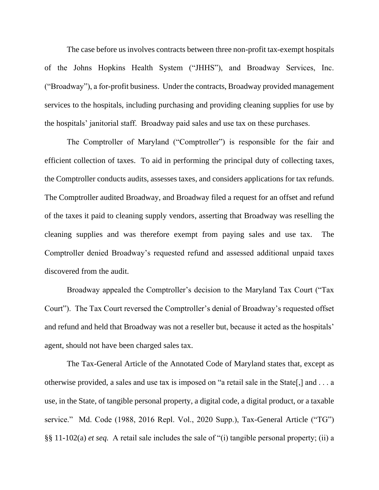The case before us involves contracts between three non-profit tax-exempt hospitals of the Johns Hopkins Health System ("JHHS"), and Broadway Services, Inc. ("Broadway"), a for-profit business. Under the contracts, Broadway provided management services to the hospitals, including purchasing and providing cleaning supplies for use by the hospitals' janitorial staff. Broadway paid sales and use tax on these purchases.

The Comptroller of Maryland ("Comptroller") is responsible for the fair and efficient collection of taxes. To aid in performing the principal duty of collecting taxes, the Comptroller conducts audits, assesses taxes, and considers applications for tax refunds. The Comptroller audited Broadway, and Broadway filed a request for an offset and refund of the taxes it paid to cleaning supply vendors, asserting that Broadway was reselling the cleaning supplies and was therefore exempt from paying sales and use tax. The Comptroller denied Broadway's requested refund and assessed additional unpaid taxes discovered from the audit.

Broadway appealed the Comptroller's decision to the Maryland Tax Court ("Tax Court"). The Tax Court reversed the Comptroller's denial of Broadway's requested offset and refund and held that Broadway was not a reseller but, because it acted as the hospitals' agent, should not have been charged sales tax.

The Tax-General Article of the Annotated Code of Maryland states that, except as otherwise provided, a sales and use tax is imposed on "a retail sale in the State[,] and . . . a use, in the State, of tangible personal property, a digital code, a digital product, or a taxable service." Md. Code (1988, 2016 Repl. Vol., 2020 Supp.), Tax-General Article ("TG") §§ 11-102(a) *et seq.* A retail sale includes the sale of "(i) tangible personal property; (ii) a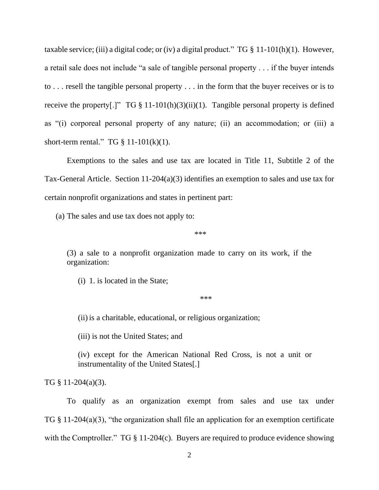taxable service; (iii) a digital code; or (iv) a digital product." TG  $\S$  11-101(h)(1). However, a retail sale does not include "a sale of tangible personal property . . . if the buyer intends to . . . resell the tangible personal property . . . in the form that the buyer receives or is to receive the property[.]"  $TG \S 11-101(h)(3)(ii)(1)$ . Tangible personal property is defined as "(i) corporeal personal property of any nature; (ii) an accommodation; or (iii) a short-term rental." TG  $\S$  11-101(k)(1).

Exemptions to the sales and use tax are located in Title 11, Subtitle 2 of the Tax-General Article. Section 11-204(a)(3) identifies an exemption to sales and use tax for certain nonprofit organizations and states in pertinent part:

(a) The sales and use tax does not apply to:

\*\*\*

(3) a sale to a nonprofit organization made to carry on its work, if the organization:

(i) 1. is located in the State;

\*\*\*

(ii) is a charitable, educational, or religious organization;

(iii) is not the United States; and

(iv) except for the American National Red Cross, is not a unit or instrumentality of the United States[.]

TG § 11-204(a)(3).

To qualify as an organization exempt from sales and use tax under TG § 11-204(a)(3), "the organization shall file an application for an exemption certificate with the Comptroller." TG § 11-204(c). Buyers are required to produce evidence showing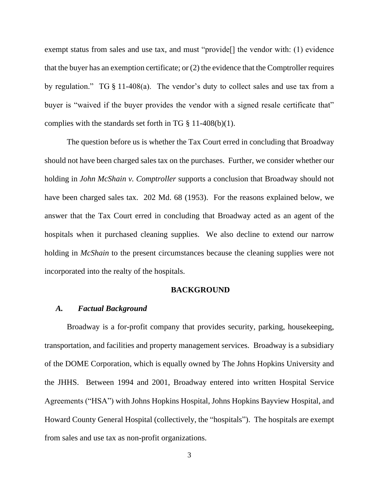exempt status from sales and use tax, and must "provide<sup>[]</sup> the vendor with: (1) evidence that the buyer has an exemption certificate; or (2) the evidence that the Comptroller requires by regulation." TG § 11-408(a). The vendor's duty to collect sales and use tax from a buyer is "waived if the buyer provides the vendor with a signed resale certificate that" complies with the standards set forth in TG  $\S$  11-408(b)(1).

The question before us is whether the Tax Court erred in concluding that Broadway should not have been charged sales tax on the purchases. Further, we consider whether our holding in *John McShain v. Comptroller* supports a conclusion that Broadway should not have been charged sales tax. 202 Md. 68 (1953). For the reasons explained below, we answer that the Tax Court erred in concluding that Broadway acted as an agent of the hospitals when it purchased cleaning supplies. We also decline to extend our narrow holding in *McShain* to the present circumstances because the cleaning supplies were not incorporated into the realty of the hospitals.

#### **BACKGROUND**

### *A. Factual Background*

Broadway is a for-profit company that provides security, parking, housekeeping, transportation, and facilities and property management services. Broadway is a subsidiary of the DOME Corporation, which is equally owned by The Johns Hopkins University and the JHHS. Between 1994 and 2001, Broadway entered into written Hospital Service Agreements ("HSA") with Johns Hopkins Hospital, Johns Hopkins Bayview Hospital, and Howard County General Hospital (collectively, the "hospitals"). The hospitals are exempt from sales and use tax as non-profit organizations.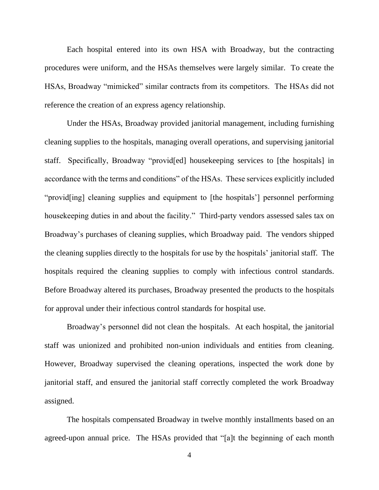Each hospital entered into its own HSA with Broadway, but the contracting procedures were uniform, and the HSAs themselves were largely similar. To create the HSAs, Broadway "mimicked" similar contracts from its competitors. The HSAs did not reference the creation of an express agency relationship.

Under the HSAs, Broadway provided janitorial management, including furnishing cleaning supplies to the hospitals, managing overall operations, and supervising janitorial staff. Specifically, Broadway "provid[ed] housekeeping services to [the hospitals] in accordance with the terms and conditions" of the HSAs. These services explicitly included "provid[ing] cleaning supplies and equipment to [the hospitals'] personnel performing housekeeping duties in and about the facility." Third-party vendors assessed sales tax on Broadway's purchases of cleaning supplies, which Broadway paid. The vendors shipped the cleaning supplies directly to the hospitals for use by the hospitals' janitorial staff. The hospitals required the cleaning supplies to comply with infectious control standards. Before Broadway altered its purchases, Broadway presented the products to the hospitals for approval under their infectious control standards for hospital use.

Broadway's personnel did not clean the hospitals. At each hospital, the janitorial staff was unionized and prohibited non-union individuals and entities from cleaning. However, Broadway supervised the cleaning operations, inspected the work done by janitorial staff, and ensured the janitorial staff correctly completed the work Broadway assigned.

The hospitals compensated Broadway in twelve monthly installments based on an agreed-upon annual price. The HSAs provided that "[a]t the beginning of each month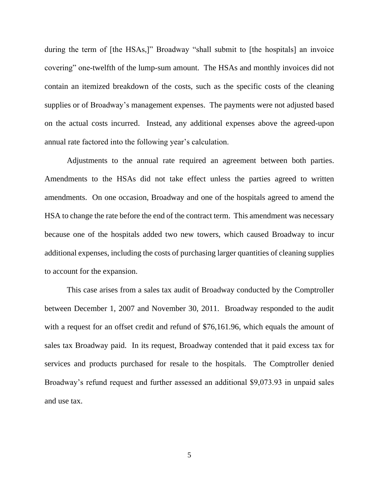during the term of [the HSAs,]" Broadway "shall submit to [the hospitals] an invoice covering" one-twelfth of the lump-sum amount. The HSAs and monthly invoices did not contain an itemized breakdown of the costs, such as the specific costs of the cleaning supplies or of Broadway's management expenses. The payments were not adjusted based on the actual costs incurred. Instead, any additional expenses above the agreed-upon annual rate factored into the following year's calculation.

Adjustments to the annual rate required an agreement between both parties. Amendments to the HSAs did not take effect unless the parties agreed to written amendments. On one occasion, Broadway and one of the hospitals agreed to amend the HSA to change the rate before the end of the contract term. This amendment was necessary because one of the hospitals added two new towers, which caused Broadway to incur additional expenses, including the costs of purchasing larger quantities of cleaning supplies to account for the expansion.

This case arises from a sales tax audit of Broadway conducted by the Comptroller between December 1, 2007 and November 30, 2011. Broadway responded to the audit with a request for an offset credit and refund of \$76,161.96, which equals the amount of sales tax Broadway paid. In its request, Broadway contended that it paid excess tax for services and products purchased for resale to the hospitals. The Comptroller denied Broadway's refund request and further assessed an additional \$9,073.93 in unpaid sales and use tax.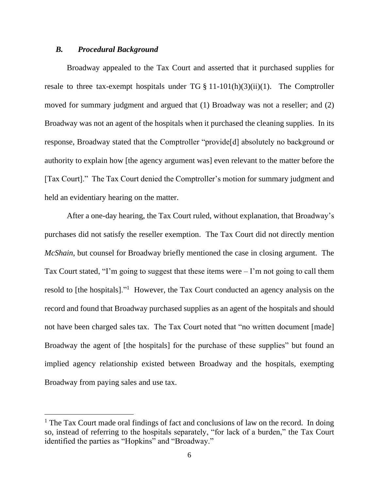## *B. Procedural Background*

Broadway appealed to the Tax Court and asserted that it purchased supplies for resale to three tax-exempt hospitals under  $TG \S 11-101(h)(3)(ii)(1)$ . The Comptroller moved for summary judgment and argued that (1) Broadway was not a reseller; and (2) Broadway was not an agent of the hospitals when it purchased the cleaning supplies. In its response, Broadway stated that the Comptroller "provide[d] absolutely no background or authority to explain how [the agency argument was] even relevant to the matter before the [Tax Court]." The Tax Court denied the Comptroller's motion for summary judgment and held an evidentiary hearing on the matter.

After a one-day hearing, the Tax Court ruled, without explanation, that Broadway's purchases did not satisfy the reseller exemption. The Tax Court did not directly mention *McShain*, but counsel for Broadway briefly mentioned the case in closing argument. The Tax Court stated, "I'm going to suggest that these items were – I'm not going to call them resold to [the hospitals]."<sup>1</sup> However, the Tax Court conducted an agency analysis on the record and found that Broadway purchased supplies as an agent of the hospitals and should not have been charged sales tax. The Tax Court noted that "no written document [made] Broadway the agent of [the hospitals] for the purchase of these supplies" but found an implied agency relationship existed between Broadway and the hospitals, exempting Broadway from paying sales and use tax.

<sup>&</sup>lt;sup>1</sup> The Tax Court made oral findings of fact and conclusions of law on the record. In doing so, instead of referring to the hospitals separately, "for lack of a burden," the Tax Court identified the parties as "Hopkins" and "Broadway."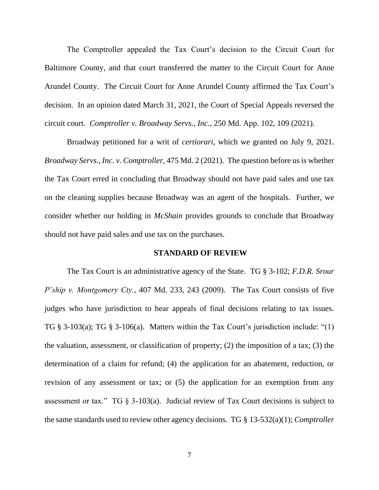The Comptroller appealed the Tax Court's decision to the Circuit Court for Baltimore County, and that court transferred the matter to the Circuit Court for Anne Arundel County. The Circuit Court for Anne Arundel County affirmed the Tax Court's decision. In an opinion dated March 31, 2021, the Court of Special Appeals reversed the circuit court. *Comptroller v. Broadway Servs., Inc.*, 250 Md. App. 102, 109 (2021).

Broadway petitioned for a writ of *certiorari*, which we granted on July 9, 2021. *Broadway Servs., Inc. v. Comptroller*, 475 Md. 2 (2021). The question before us is whether the Tax Court erred in concluding that Broadway should not have paid sales and use tax on the cleaning supplies because Broadway was an agent of the hospitals. Further, we consider whether our holding in *McShain* provides grounds to conclude that Broadway should not have paid sales and use tax on the purchases.

#### **STANDARD OF REVIEW**

The Tax Court is an administrative agency of the State. TG § 3-102; *F.D.R. Srour P'ship v. Montgomery Cty.*, 407 Md. 233, 243 (2009). The Tax Court consists of five judges who have jurisdiction to hear appeals of final decisions relating to tax issues. TG § 3-103(a); TG § 3-106(a). Matters within the Tax Court's jurisdiction include: "(1) the valuation, assessment, or classification of property; (2) the imposition of a tax; (3) the determination of a claim for refund; (4) the application for an abatement, reduction, or revision of any assessment or tax; or (5) the application for an exemption from any assessment or tax." TG  $\S$  3-103(a). Judicial review of Tax Court decisions is subject to the same standards used to review other agency decisions. TG § 13-532(a)(1); *Comptroller*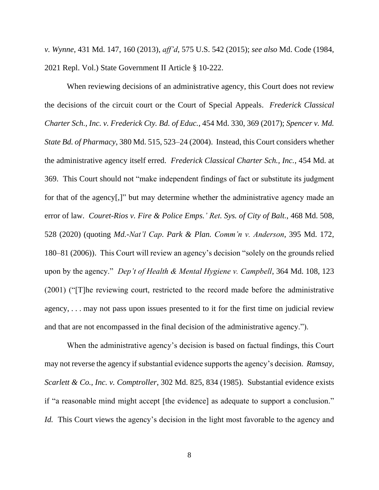*v. Wynne*, 431 Md. 147, 160 (2013), *aff'd*, 575 U.S. 542 (2015); *see also* Md. Code (1984, 2021 Repl. Vol.) State Government II Article § 10-222.

When reviewing decisions of an administrative agency, this Court does not review the decisions of the circuit court or the Court of Special Appeals. *Frederick Classical Charter Sch., Inc. v. Frederick Cty. Bd. of Educ.*, 454 Md. 330, 369 (2017); *Spencer v. Md. State Bd. of Pharmacy*, 380 Md. 515, 523–24 (2004). Instead, this Court considers whether the administrative agency itself erred. *Frederick Classical Charter Sch., Inc.*, 454 Md. at 369. This Court should not "make independent findings of fact or substitute its judgment for that of the agency[,]" but may determine whether the administrative agency made an error of law. *Couret-Rios v. Fire & Police Emps.' Ret. Sys. of City of Balt.*, 468 Md. 508, 528 (2020) (quoting *Md.-Nat'l Cap. Park & Plan. Comm'n v. Anderson*, 395 Md. 172, 180–81 (2006)). This Court will review an agency's decision "solely on the grounds relied upon by the agency." *Dep't of Health & Mental Hygiene v. Campbell*, 364 Md. 108, 123 (2001) ("[T]he reviewing court, restricted to the record made before the administrative agency, . . . may not pass upon issues presented to it for the first time on judicial review and that are not encompassed in the final decision of the administrative agency.").

When the administrative agency's decision is based on factual findings, this Court may not reverse the agency if substantial evidence supports the agency's decision. *Ramsay, Scarlett & Co., Inc. v. Comptroller*, 302 Md. 825, 834 (1985). Substantial evidence exists if "a reasonable mind might accept [the evidence] as adequate to support a conclusion." *Id.* This Court views the agency's decision in the light most favorable to the agency and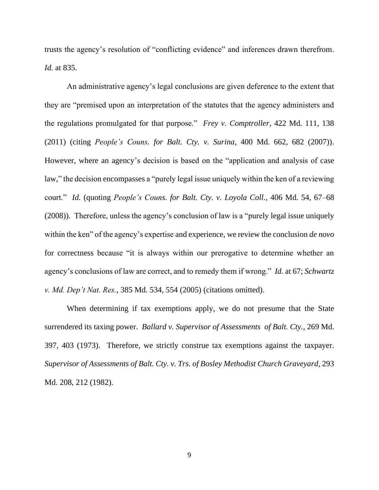trusts the agency's resolution of "conflicting evidence" and inferences drawn therefrom. *Id.* at 835.

An administrative agency's legal conclusions are given deference to the extent that they are "premised upon an interpretation of the statutes that the agency administers and the regulations promulgated for that purpose." *Frey v. Comptroller*, 422 Md. 111, 138 (2011) (citing *People's Couns. for Balt. Cty. v. Surina*, 400 Md. 662, 682 (2007)). However, where an agency's decision is based on the "application and analysis of case law," the decision encompasses a "purely legal issue uniquely within the ken of a reviewing court." *Id.* (quoting *People's Couns. for Balt. Cty. v. Loyola Coll.*, 406 Md. 54, 67–68 (2008)). Therefore, unless the agency's conclusion of law is a "purely legal issue uniquely within the ken" of the agency's expertise and experience, we review the conclusion *de novo* for correctness because "it is always within our prerogative to determine whether an agency's conclusions of law are correct, and to remedy them if wrong." *Id.* at 67; *Schwartz v. Md. Dep't Nat. Res.*, 385 Md. 534, 554 (2005) (citations omitted).

When determining if tax exemptions apply, we do not presume that the State surrendered its taxing power. *Ballard v. Supervisor of Assessments of Balt. Cty.,* 269 Md. 397, 403 (1973). Therefore, we strictly construe tax exemptions against the taxpayer. *Supervisor of Assessments of Balt. Cty. v. Trs. of Bosley Methodist Church Graveyard*, 293 Md. 208, 212 (1982).

9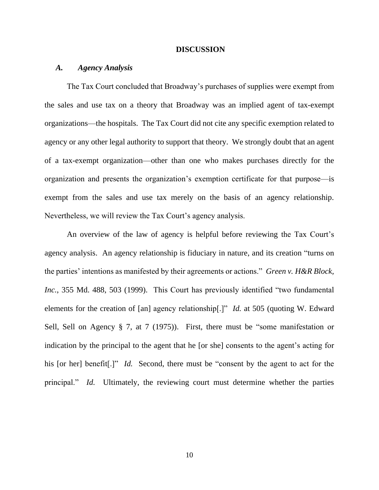#### **DISCUSSION**

# *A. Agency Analysis*

The Tax Court concluded that Broadway's purchases of supplies were exempt from the sales and use tax on a theory that Broadway was an implied agent of tax-exempt organizations—the hospitals. The Tax Court did not cite any specific exemption related to agency or any other legal authority to support that theory. We strongly doubt that an agent of a tax-exempt organization—other than one who makes purchases directly for the organization and presents the organization's exemption certificate for that purpose—is exempt from the sales and use tax merely on the basis of an agency relationship. Nevertheless, we will review the Tax Court's agency analysis.

An overview of the law of agency is helpful before reviewing the Tax Court's agency analysis. An agency relationship is fiduciary in nature, and its creation "turns on the parties' intentions as manifested by their agreements or actions." *Green v. H&R Block, Inc.*, 355 Md. 488, 503 (1999). This Court has previously identified "two fundamental elements for the creation of [an] agency relationship[.]" *Id.* at 505 (quoting W. Edward Sell, Sell on Agency § 7, at 7 (1975)). First, there must be "some manifestation or indication by the principal to the agent that he [or she] consents to the agent's acting for his [or her] benefit<sup>[1]"</sup> *Id.* Second, there must be "consent by the agent to act for the principal." *Id.* Ultimately, the reviewing court must determine whether the parties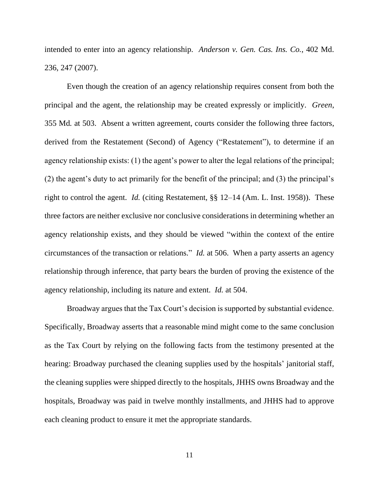intended to enter into an agency relationship. *Anderson v. Gen. Cas. Ins. Co.*, 402 Md. 236, 247 (2007).

Even though the creation of an agency relationship requires consent from both the principal and the agent, the relationship may be created expressly or implicitly. *Green*, 355 Md*.* at 503. Absent a written agreement, courts consider the following three factors, derived from the Restatement (Second) of Agency ("Restatement"), to determine if an agency relationship exists: (1) the agent's power to alter the legal relations of the principal; (2) the agent's duty to act primarily for the benefit of the principal; and (3) the principal's right to control the agent. *Id.* (citing Restatement, §§ 12–14 (Am. L. Inst. 1958)). These three factors are neither exclusive nor conclusive considerations in determining whether an agency relationship exists, and they should be viewed "within the context of the entire circumstances of the transaction or relations." *Id.* at 506. When a party asserts an agency relationship through inference, that party bears the burden of proving the existence of the agency relationship, including its nature and extent. *Id.* at 504.

Broadway argues that the Tax Court's decision is supported by substantial evidence. Specifically, Broadway asserts that a reasonable mind might come to the same conclusion as the Tax Court by relying on the following facts from the testimony presented at the hearing: Broadway purchased the cleaning supplies used by the hospitals' janitorial staff, the cleaning supplies were shipped directly to the hospitals, JHHS owns Broadway and the hospitals, Broadway was paid in twelve monthly installments, and JHHS had to approve each cleaning product to ensure it met the appropriate standards.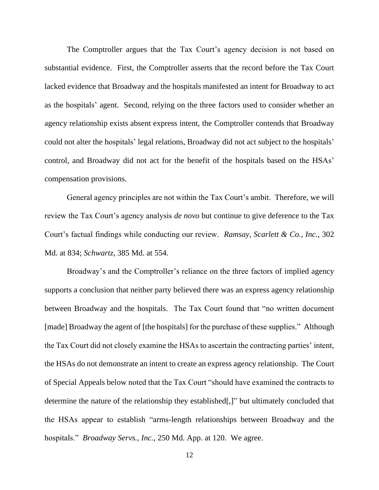The Comptroller argues that the Tax Court's agency decision is not based on substantial evidence. First, the Comptroller asserts that the record before the Tax Court lacked evidence that Broadway and the hospitals manifested an intent for Broadway to act as the hospitals' agent. Second, relying on the three factors used to consider whether an agency relationship exists absent express intent, the Comptroller contends that Broadway could not alter the hospitals' legal relations, Broadway did not act subject to the hospitals' control, and Broadway did not act for the benefit of the hospitals based on the HSAs' compensation provisions.

General agency principles are not within the Tax Court's ambit. Therefore, we will review the Tax Court's agency analysis *de novo* but continue to give deference to the Tax Court's factual findings while conducting our review. *Ramsay, Scarlett & Co., Inc.*, 302 Md. at 834; *Schwartz*, 385 Md. at 554.

Broadway's and the Comptroller's reliance on the three factors of implied agency supports a conclusion that neither party believed there was an express agency relationship between Broadway and the hospitals. The Tax Court found that "no written document [made] Broadway the agent of [the hospitals] for the purchase of these supplies." Although the Tax Court did not closely examine the HSAs to ascertain the contracting parties' intent, the HSAs do not demonstrate an intent to create an express agency relationship. The Court of Special Appeals below noted that the Tax Court "should have examined the contracts to determine the nature of the relationship they established[,]" but ultimately concluded that the HSAs appear to establish "arms-length relationships between Broadway and the hospitals." *Broadway Servs., Inc.*, 250 Md. App. at 120. We agree.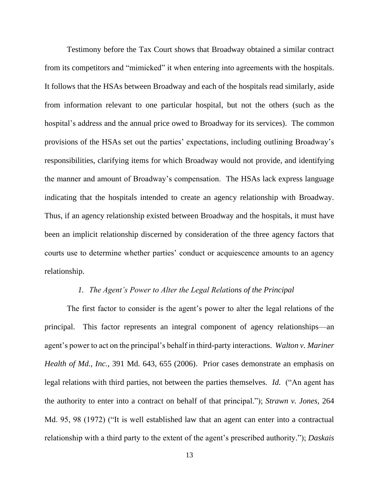Testimony before the Tax Court shows that Broadway obtained a similar contract from its competitors and "mimicked" it when entering into agreements with the hospitals. It follows that the HSAs between Broadway and each of the hospitals read similarly, aside from information relevant to one particular hospital, but not the others (such as the hospital's address and the annual price owed to Broadway for its services). The common provisions of the HSAs set out the parties' expectations, including outlining Broadway's responsibilities, clarifying items for which Broadway would not provide, and identifying the manner and amount of Broadway's compensation. The HSAs lack express language indicating that the hospitals intended to create an agency relationship with Broadway. Thus, if an agency relationship existed between Broadway and the hospitals, it must have been an implicit relationship discerned by consideration of the three agency factors that courts use to determine whether parties' conduct or acquiescence amounts to an agency relationship.

## *1. The Agent's Power to Alter the Legal Relations of the Principal*

The first factor to consider is the agent's power to alter the legal relations of the principal. This factor represents an integral component of agency relationships—an agent's power to act on the principal's behalf in third-party interactions. *Walton v. Mariner Health of Md., Inc.*, 391 Md. 643, 655 (2006). Prior cases demonstrate an emphasis on legal relations with third parties, not between the parties themselves. *Id.* ("An agent has the authority to enter into a contract on behalf of that principal."); *Strawn v. Jones*, 264 Md. 95, 98 (1972) ("It is well established law that an agent can enter into a contractual relationship with a third party to the extent of the agent's prescribed authority."); *Daskais*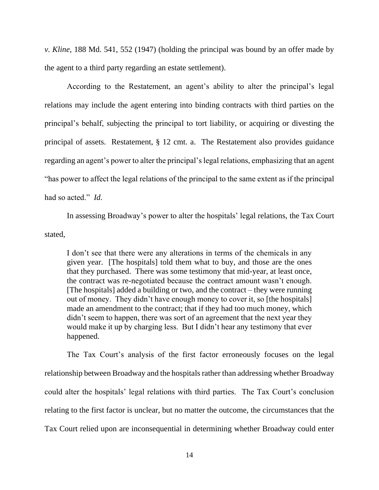*v. Kline*, 188 Md. 541, 552 (1947) (holding the principal was bound by an offer made by the agent to a third party regarding an estate settlement).

According to the Restatement, an agent's ability to alter the principal's legal relations may include the agent entering into binding contracts with third parties on the principal's behalf, subjecting the principal to tort liability, or acquiring or divesting the principal of assets. Restatement, § 12 cmt. a. The Restatement also provides guidance regarding an agent's power to alter the principal's legal relations, emphasizing that an agent "has power to affect the legal relations of the principal to the same extent as if the principal had so acted." *Id.*

In assessing Broadway's power to alter the hospitals' legal relations, the Tax Court stated,

I don't see that there were any alterations in terms of the chemicals in any given year. [The hospitals] told them what to buy, and those are the ones that they purchased. There was some testimony that mid-year, at least once, the contract was re-negotiated because the contract amount wasn't enough. [The hospitals] added a building or two, and the contract – they were running out of money. They didn't have enough money to cover it, so [the hospitals] made an amendment to the contract; that if they had too much money, which didn't seem to happen, there was sort of an agreement that the next year they would make it up by charging less. But I didn't hear any testimony that ever happened.

The Tax Court's analysis of the first factor erroneously focuses on the legal relationship between Broadway and the hospitals rather than addressing whether Broadway could alter the hospitals' legal relations with third parties. The Tax Court's conclusion relating to the first factor is unclear, but no matter the outcome, the circumstances that the Tax Court relied upon are inconsequential in determining whether Broadway could enter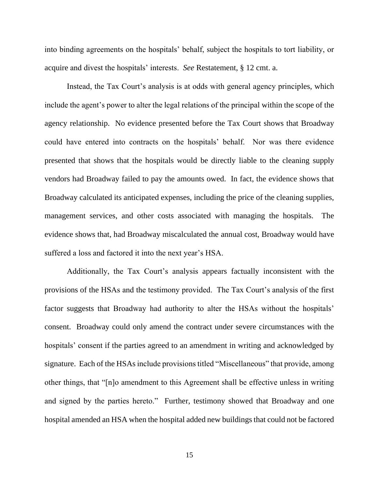into binding agreements on the hospitals' behalf, subject the hospitals to tort liability, or acquire and divest the hospitals' interests. *See* Restatement, § 12 cmt. a.

Instead, the Tax Court's analysis is at odds with general agency principles, which include the agent's power to alter the legal relations of the principal within the scope of the agency relationship. No evidence presented before the Tax Court shows that Broadway could have entered into contracts on the hospitals' behalf. Nor was there evidence presented that shows that the hospitals would be directly liable to the cleaning supply vendors had Broadway failed to pay the amounts owed. In fact, the evidence shows that Broadway calculated its anticipated expenses, including the price of the cleaning supplies, management services, and other costs associated with managing the hospitals. The evidence shows that, had Broadway miscalculated the annual cost, Broadway would have suffered a loss and factored it into the next year's HSA.

Additionally, the Tax Court's analysis appears factually inconsistent with the provisions of the HSAs and the testimony provided. The Tax Court's analysis of the first factor suggests that Broadway had authority to alter the HSAs without the hospitals' consent. Broadway could only amend the contract under severe circumstances with the hospitals' consent if the parties agreed to an amendment in writing and acknowledged by signature. Each of the HSAs include provisions titled "Miscellaneous" that provide, among other things, that "[n]o amendment to this Agreement shall be effective unless in writing and signed by the parties hereto." Further, testimony showed that Broadway and one hospital amended an HSA when the hospital added new buildings that could not be factored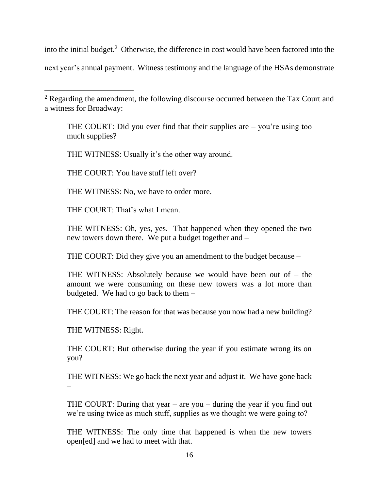into the initial budget.<sup>2</sup> Otherwise, the difference in cost would have been factored into the next year's annual payment. Witness testimony and the language of the HSAs demonstrate

THE COURT: Did you ever find that their supplies are – you're using too much supplies?

THE WITNESS: Usually it's the other way around.

THE COURT: You have stuff left over?

THE WITNESS: No, we have to order more.

THE COURT: That's what I mean.

THE WITNESS: Oh, yes, yes. That happened when they opened the two new towers down there. We put a budget together and –

THE COURT: Did they give you an amendment to the budget because –

THE WITNESS: Absolutely because we would have been out of – the amount we were consuming on these new towers was a lot more than budgeted. We had to go back to them –

THE COURT: The reason for that was because you now had a new building?

THE WITNESS: Right.

THE COURT: But otherwise during the year if you estimate wrong its on you?

THE WITNESS: We go back the next year and adjust it. We have gone back –

THE COURT: During that year  $-$  are you  $-$  during the year if you find out we're using twice as much stuff, supplies as we thought we were going to?

THE WITNESS: The only time that happened is when the new towers open[ed] and we had to meet with that.

<sup>&</sup>lt;sup>2</sup> Regarding the amendment, the following discourse occurred between the Tax Court and a witness for Broadway: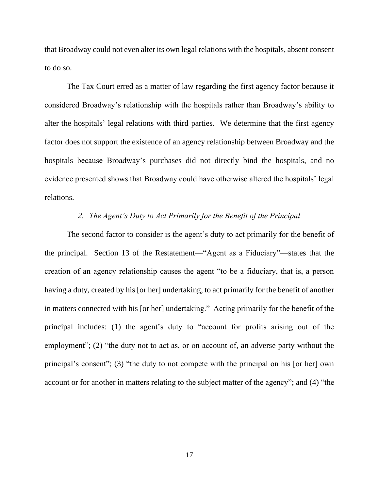that Broadway could not even alter its own legal relations with the hospitals, absent consent to do so.

The Tax Court erred as a matter of law regarding the first agency factor because it considered Broadway's relationship with the hospitals rather than Broadway's ability to alter the hospitals' legal relations with third parties. We determine that the first agency factor does not support the existence of an agency relationship between Broadway and the hospitals because Broadway's purchases did not directly bind the hospitals, and no evidence presented shows that Broadway could have otherwise altered the hospitals' legal relations.

# *2. The Agent's Duty to Act Primarily for the Benefit of the Principal*

The second factor to consider is the agent's duty to act primarily for the benefit of the principal. Section 13 of the Restatement—"Agent as a Fiduciary"—states that the creation of an agency relationship causes the agent "to be a fiduciary, that is, a person having a duty, created by his [or her] undertaking, to act primarily for the benefit of another in matters connected with his [or her] undertaking." Acting primarily for the benefit of the principal includes: (1) the agent's duty to "account for profits arising out of the employment"; (2) "the duty not to act as, or on account of, an adverse party without the principal's consent"; (3) "the duty to not compete with the principal on his [or her] own account or for another in matters relating to the subject matter of the agency"; and (4) "the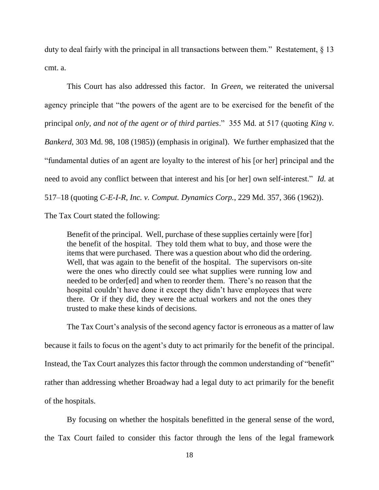duty to deal fairly with the principal in all transactions between them." Restatement,  $\S$  13 cmt. a.

This Court has also addressed this factor. In *Green*, we reiterated the universal agency principle that "the powers of the agent are to be exercised for the benefit of the principal *only, and not of the agent or of third parties*." 355 Md. at 517 (quoting *King v. Bankerd*, 303 Md. 98, 108 (1985)) (emphasis in original). We further emphasized that the "fundamental duties of an agent are loyalty to the interest of his [or her] principal and the need to avoid any conflict between that interest and his [or her] own self-interest." *Id.* at 517–18 (quoting *C-E-I-R, Inc. v. Comput. Dynamics Corp.*, 229 Md. 357, 366 (1962)).

The Tax Court stated the following:

Benefit of the principal. Well, purchase of these supplies certainly were [for] the benefit of the hospital. They told them what to buy, and those were the items that were purchased. There was a question about who did the ordering. Well, that was again to the benefit of the hospital. The supervisors on-site were the ones who directly could see what supplies were running low and needed to be order[ed] and when to reorder them. There's no reason that the hospital couldn't have done it except they didn't have employees that were there. Or if they did, they were the actual workers and not the ones they trusted to make these kinds of decisions.

The Tax Court's analysis of the second agency factor is erroneous as a matter of law because it fails to focus on the agent's duty to act primarily for the benefit of the principal. Instead, the Tax Court analyzes this factor through the common understanding of "benefit" rather than addressing whether Broadway had a legal duty to act primarily for the benefit of the hospitals.

By focusing on whether the hospitals benefitted in the general sense of the word, the Tax Court failed to consider this factor through the lens of the legal framework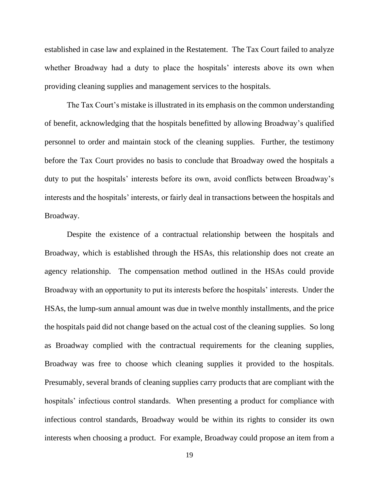established in case law and explained in the Restatement. The Tax Court failed to analyze whether Broadway had a duty to place the hospitals' interests above its own when providing cleaning supplies and management services to the hospitals.

The Tax Court's mistake is illustrated in its emphasis on the common understanding of benefit, acknowledging that the hospitals benefitted by allowing Broadway's qualified personnel to order and maintain stock of the cleaning supplies. Further, the testimony before the Tax Court provides no basis to conclude that Broadway owed the hospitals a duty to put the hospitals' interests before its own, avoid conflicts between Broadway's interests and the hospitals' interests, or fairly deal in transactions between the hospitals and Broadway.

Despite the existence of a contractual relationship between the hospitals and Broadway, which is established through the HSAs, this relationship does not create an agency relationship. The compensation method outlined in the HSAs could provide Broadway with an opportunity to put its interests before the hospitals' interests. Under the HSAs, the lump-sum annual amount was due in twelve monthly installments, and the price the hospitals paid did not change based on the actual cost of the cleaning supplies. So long as Broadway complied with the contractual requirements for the cleaning supplies, Broadway was free to choose which cleaning supplies it provided to the hospitals. Presumably, several brands of cleaning supplies carry products that are compliant with the hospitals' infectious control standards. When presenting a product for compliance with infectious control standards, Broadway would be within its rights to consider its own interests when choosing a product. For example, Broadway could propose an item from a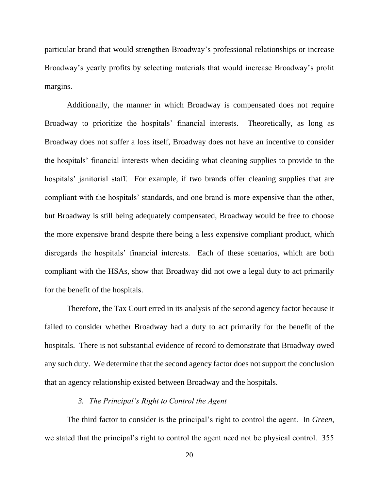particular brand that would strengthen Broadway's professional relationships or increase Broadway's yearly profits by selecting materials that would increase Broadway's profit margins.

Additionally, the manner in which Broadway is compensated does not require Broadway to prioritize the hospitals' financial interests. Theoretically, as long as Broadway does not suffer a loss itself, Broadway does not have an incentive to consider the hospitals' financial interests when deciding what cleaning supplies to provide to the hospitals' janitorial staff. For example, if two brands offer cleaning supplies that are compliant with the hospitals' standards, and one brand is more expensive than the other, but Broadway is still being adequately compensated, Broadway would be free to choose the more expensive brand despite there being a less expensive compliant product, which disregards the hospitals' financial interests. Each of these scenarios, which are both compliant with the HSAs, show that Broadway did not owe a legal duty to act primarily for the benefit of the hospitals.

Therefore, the Tax Court erred in its analysis of the second agency factor because it failed to consider whether Broadway had a duty to act primarily for the benefit of the hospitals. There is not substantial evidence of record to demonstrate that Broadway owed any such duty. We determine that the second agency factor does not support the conclusion that an agency relationship existed between Broadway and the hospitals.

# *3. The Principal's Right to Control the Agent*

The third factor to consider is the principal's right to control the agent. In *Green*, we stated that the principal's right to control the agent need not be physical control. 355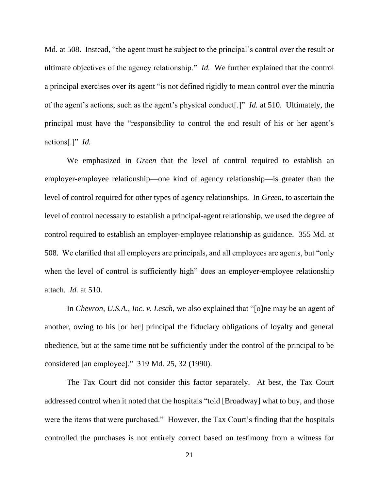Md. at 508. Instead, "the agent must be subject to the principal's control over the result or ultimate objectives of the agency relationship." *Id.* We further explained that the control a principal exercises over its agent "is not defined rigidly to mean control over the minutia of the agent's actions, such as the agent's physical conduct[.]" *Id.* at 510. Ultimately, the principal must have the "responsibility to control the end result of his or her agent's actions[.]" *Id.*

We emphasized in *Green* that the level of control required to establish an employer-employee relationship—one kind of agency relationship—is greater than the level of control required for other types of agency relationships. In *Green*, to ascertain the level of control necessary to establish a principal-agent relationship, we used the degree of control required to establish an employer-employee relationship as guidance. 355 Md. at 508. We clarified that all employers are principals, and all employees are agents, but "only when the level of control is sufficiently high" does an employer-employee relationship attach. *Id.* at 510.

In *Chevron, U.S.A., Inc. v. Lesch*, we also explained that "[o]ne may be an agent of another, owing to his [or her] principal the fiduciary obligations of loyalty and general obedience, but at the same time not be sufficiently under the control of the principal to be considered [an employee]." 319 Md. 25, 32 (1990).

The Tax Court did not consider this factor separately. At best, the Tax Court addressed control when it noted that the hospitals "told [Broadway] what to buy, and those were the items that were purchased." However, the Tax Court's finding that the hospitals controlled the purchases is not entirely correct based on testimony from a witness for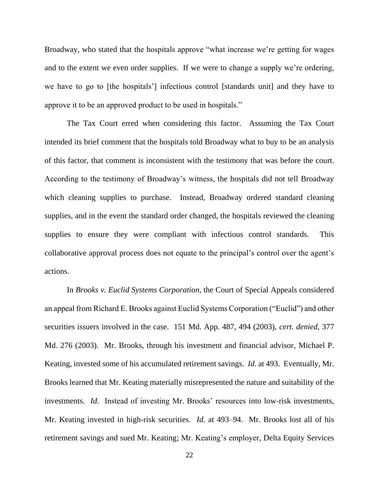Broadway, who stated that the hospitals approve "what increase we're getting for wages and to the extent we even order supplies. If we were to change a supply we're ordering, we have to go to [the hospitals'] infectious control [standards unit] and they have to approve it to be an approved product to be used in hospitals."

The Tax Court erred when considering this factor. Assuming the Tax Court intended its brief comment that the hospitals told Broadway what to buy to be an analysis of this factor, that comment is inconsistent with the testimony that was before the court. According to the testimony of Broadway's witness, the hospitals did not tell Broadway which cleaning supplies to purchase. Instead, Broadway ordered standard cleaning supplies, and in the event the standard order changed, the hospitals reviewed the cleaning supplies to ensure they were compliant with infectious control standards. This collaborative approval process does not equate to the principal's control over the agent's actions.

In *Brooks v. Euclid Systems Corporation*, the Court of Special Appeals considered an appeal from Richard E. Brooks against Euclid Systems Corporation ("Euclid") and other securities issuers involved in the case. 151 Md. App. 487, 494 (2003), *cert. denied*, 377 Md. 276 (2003). Mr. Brooks, through his investment and financial advisor, Michael P. Keating, invested some of his accumulated retirement savings. *Id.* at 493. Eventually, Mr. Brooks learned that Mr. Keating materially misrepresented the nature and suitability of the investments. *Id.* Instead of investing Mr. Brooks' resources into low-risk investments, Mr. Keating invested in high-risk securities. *Id.* at 493–94. Mr. Brooks lost all of his retirement savings and sued Mr. Keating; Mr. Keating's employer, Delta Equity Services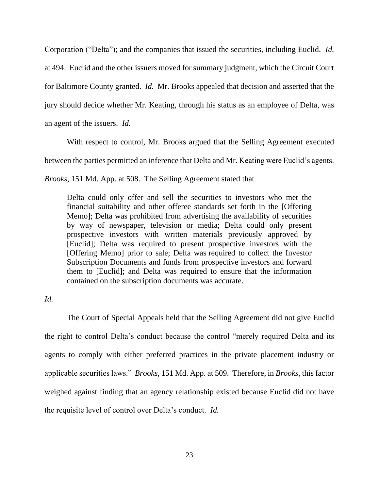Corporation ("Delta"); and the companies that issued the securities, including Euclid. *Id.* at 494. Euclid and the other issuers moved for summary judgment, which the Circuit Court for Baltimore County granted. *Id.* Mr. Brooks appealed that decision and asserted that the jury should decide whether Mr. Keating, through his status as an employee of Delta, was an agent of the issuers. *Id.*

With respect to control, Mr. Brooks argued that the Selling Agreement executed

between the parties permitted an inference that Delta and Mr. Keating were Euclid's agents.

*Brooks*, 151 Md. App. at 508. The Selling Agreement stated that

Delta could only offer and sell the securities to investors who met the financial suitability and other offeree standards set forth in the [Offering Memo]; Delta was prohibited from advertising the availability of securities by way of newspaper, television or media; Delta could only present prospective investors with written materials previously approved by [Euclid]; Delta was required to present prospective investors with the [Offering Memo] prior to sale; Delta was required to collect the Investor Subscription Documents and funds from prospective investors and forward them to [Euclid]; and Delta was required to ensure that the information contained on the subscription documents was accurate.

# *Id.*

The Court of Special Appeals held that the Selling Agreement did not give Euclid the right to control Delta's conduct because the control "merely required Delta and its agents to comply with either preferred practices in the private placement industry or applicable securities laws." *Brooks*, 151 Md. App. at 509. Therefore, in *Brooks*, this factor weighed against finding that an agency relationship existed because Euclid did not have the requisite level of control over Delta's conduct. *Id.*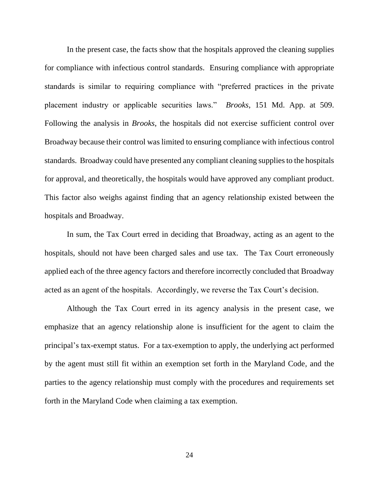In the present case, the facts show that the hospitals approved the cleaning supplies for compliance with infectious control standards. Ensuring compliance with appropriate standards is similar to requiring compliance with "preferred practices in the private placement industry or applicable securities laws." *Brooks*, 151 Md. App. at 509. Following the analysis in *Brooks*, the hospitals did not exercise sufficient control over Broadway because their control was limited to ensuring compliance with infectious control standards. Broadway could have presented any compliant cleaning supplies to the hospitals for approval, and theoretically, the hospitals would have approved any compliant product. This factor also weighs against finding that an agency relationship existed between the hospitals and Broadway.

In sum, the Tax Court erred in deciding that Broadway, acting as an agent to the hospitals, should not have been charged sales and use tax. The Tax Court erroneously applied each of the three agency factors and therefore incorrectly concluded that Broadway acted as an agent of the hospitals. Accordingly, we reverse the Tax Court's decision.

Although the Tax Court erred in its agency analysis in the present case, we emphasize that an agency relationship alone is insufficient for the agent to claim the principal's tax-exempt status. For a tax-exemption to apply, the underlying act performed by the agent must still fit within an exemption set forth in the Maryland Code, and the parties to the agency relationship must comply with the procedures and requirements set forth in the Maryland Code when claiming a tax exemption.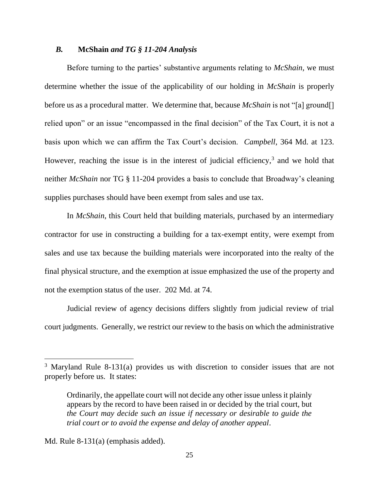# *B.* **McShain** *and TG § 11-204 Analysis*

Before turning to the parties' substantive arguments relating to *McShain*, we must determine whether the issue of the applicability of our holding in *McShain* is properly before us as a procedural matter. We determine that, because *McShain* is not "[a] ground[] relied upon" or an issue "encompassed in the final decision" of the Tax Court, it is not a basis upon which we can affirm the Tax Court's decision. *Campbell*, 364 Md. at 123. However, reaching the issue is in the interest of judicial efficiency, $3$  and we hold that neither *McShain* nor TG § 11-204 provides a basis to conclude that Broadway's cleaning supplies purchases should have been exempt from sales and use tax.

In *McShain*, this Court held that building materials, purchased by an intermediary contractor for use in constructing a building for a tax-exempt entity, were exempt from sales and use tax because the building materials were incorporated into the realty of the final physical structure, and the exemption at issue emphasized the use of the property and not the exemption status of the user. 202 Md. at 74.

Judicial review of agency decisions differs slightly from judicial review of trial court judgments. Generally, we restrict our review to the basis on which the administrative

Md. Rule 8-131(a) (emphasis added).

<sup>3</sup> Maryland Rule 8-131(a) provides us with discretion to consider issues that are not properly before us. It states:

Ordinarily, the appellate court will not decide any other issue unless it plainly appears by the record to have been raised in or decided by the trial court, but *the Court may decide such an issue if necessary or desirable to guide the trial court or to avoid the expense and delay of another appeal*.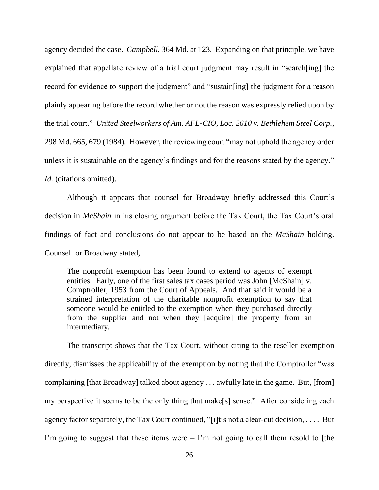agency decided the case. *Campbell*, 364 Md. at 123. Expanding on that principle, we have explained that appellate review of a trial court judgment may result in "search[ing] the record for evidence to support the judgment" and "sustain[ing] the judgment for a reason plainly appearing before the record whether or not the reason was expressly relied upon by the trial court." *United Steelworkers of Am. AFL-CIO, Loc. 2610 v. Bethlehem Steel Corp.*, 298 Md. 665, 679 (1984). However, the reviewing court "may not uphold the agency order unless it is sustainable on the agency's findings and for the reasons stated by the agency." *Id.* (citations omitted).

Although it appears that counsel for Broadway briefly addressed this Court's decision in *McShain* in his closing argument before the Tax Court, the Tax Court's oral findings of fact and conclusions do not appear to be based on the *McShain* holding. Counsel for Broadway stated,

The nonprofit exemption has been found to extend to agents of exempt entities. Early, one of the first sales tax cases period was John [McShain] v. Comptroller, 1953 from the Court of Appeals. And that said it would be a strained interpretation of the charitable nonprofit exemption to say that someone would be entitled to the exemption when they purchased directly from the supplier and not when they [acquire] the property from an intermediary.

The transcript shows that the Tax Court, without citing to the reseller exemption directly, dismisses the applicability of the exemption by noting that the Comptroller "was complaining [that Broadway] talked about agency . . . awfully late in the game. But, [from] my perspective it seems to be the only thing that make[s] sense." After considering each agency factor separately, the Tax Court continued, "[i]t's not a clear-cut decision, . . . . But I'm going to suggest that these items were  $-$  I'm not going to call them resold to [the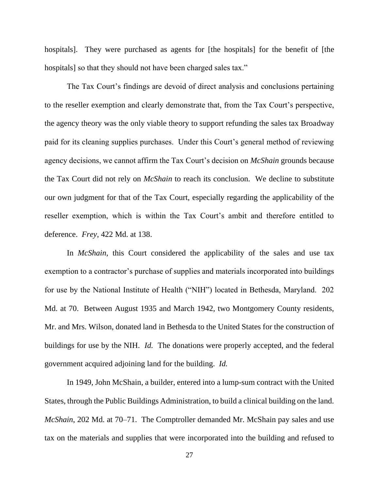hospitals]. They were purchased as agents for [the hospitals] for the benefit of [the hospitals] so that they should not have been charged sales tax."

The Tax Court's findings are devoid of direct analysis and conclusions pertaining to the reseller exemption and clearly demonstrate that, from the Tax Court's perspective, the agency theory was the only viable theory to support refunding the sales tax Broadway paid for its cleaning supplies purchases. Under this Court's general method of reviewing agency decisions, we cannot affirm the Tax Court's decision on *McShain* grounds because the Tax Court did not rely on *McShain* to reach its conclusion. We decline to substitute our own judgment for that of the Tax Court, especially regarding the applicability of the reseller exemption, which is within the Tax Court's ambit and therefore entitled to deference. *Frey*, 422 Md. at 138.

In *McShain*, this Court considered the applicability of the sales and use tax exemption to a contractor's purchase of supplies and materials incorporated into buildings for use by the National Institute of Health ("NIH") located in Bethesda, Maryland. 202 Md. at 70. Between August 1935 and March 1942, two Montgomery County residents, Mr. and Mrs. Wilson, donated land in Bethesda to the United States for the construction of buildings for use by the NIH. *Id.* The donations were properly accepted, and the federal government acquired adjoining land for the building. *Id.*

In 1949, John McShain, a builder, entered into a lump-sum contract with the United States, through the Public Buildings Administration, to build a clinical building on the land. *McShain*, 202 Md. at 70–71. The Comptroller demanded Mr. McShain pay sales and use tax on the materials and supplies that were incorporated into the building and refused to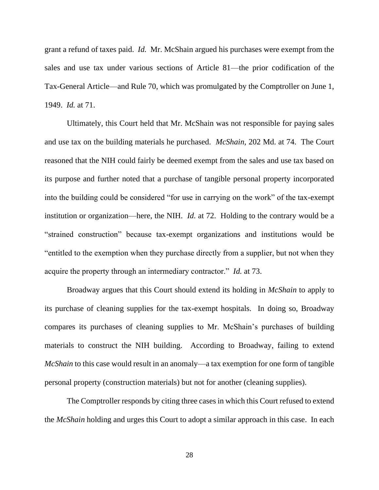grant a refund of taxes paid. *Id.* Mr. McShain argued his purchases were exempt from the sales and use tax under various sections of Article 81—the prior codification of the Tax-General Article—and Rule 70, which was promulgated by the Comptroller on June 1, 1949. *Id.* at 71.

Ultimately, this Court held that Mr. McShain was not responsible for paying sales and use tax on the building materials he purchased. *McShain*, 202 Md. at 74. The Court reasoned that the NIH could fairly be deemed exempt from the sales and use tax based on its purpose and further noted that a purchase of tangible personal property incorporated into the building could be considered "for use in carrying on the work" of the tax-exempt institution or organization—here, the NIH. *Id.* at 72. Holding to the contrary would be a "strained construction" because tax-exempt organizations and institutions would be "entitled to the exemption when they purchase directly from a supplier, but not when they acquire the property through an intermediary contractor." *Id.* at 73.

Broadway argues that this Court should extend its holding in *McShain* to apply to its purchase of cleaning supplies for the tax-exempt hospitals. In doing so, Broadway compares its purchases of cleaning supplies to Mr. McShain's purchases of building materials to construct the NIH building. According to Broadway, failing to extend *McShain* to this case would result in an anomaly—a tax exemption for one form of tangible personal property (construction materials) but not for another (cleaning supplies).

The Comptroller responds by citing three cases in which this Court refused to extend the *McShain* holding and urges this Court to adopt a similar approach in this case. In each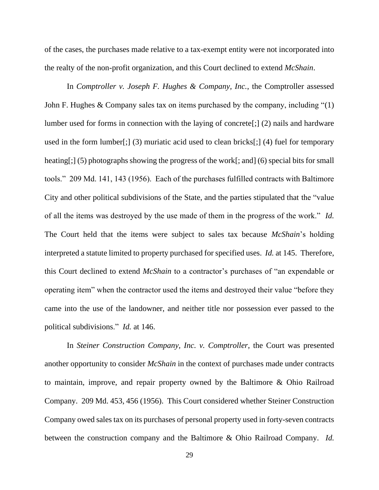of the cases, the purchases made relative to a tax-exempt entity were not incorporated into the realty of the non-profit organization, and this Court declined to extend *McShain*.

In *Comptroller v. Joseph F. Hughes & Company, Inc.*, the Comptroller assessed John F. Hughes & Company sales tax on items purchased by the company, including "(1) lumber used for forms in connection with the laying of concrete[;] (2) nails and hardware used in the form lumber[;] (3) muriatic acid used to clean bricks[;] (4) fuel for temporary heating[;] (5) photographs showing the progress of the work[; and] (6) special bits for small tools." 209 Md. 141, 143 (1956). Each of the purchases fulfilled contracts with Baltimore City and other political subdivisions of the State, and the parties stipulated that the "value of all the items was destroyed by the use made of them in the progress of the work." *Id.* The Court held that the items were subject to sales tax because *McShain*'s holding interpreted a statute limited to property purchased for specified uses. *Id.* at 145. Therefore, this Court declined to extend *McShain* to a contractor's purchases of "an expendable or operating item" when the contractor used the items and destroyed their value "before they came into the use of the landowner, and neither title nor possession ever passed to the political subdivisions." *Id.* at 146.

In *Steiner Construction Company, Inc. v. Comptroller*, the Court was presented another opportunity to consider *McShain* in the context of purchases made under contracts to maintain, improve, and repair property owned by the Baltimore & Ohio Railroad Company. 209 Md. 453, 456 (1956). This Court considered whether Steiner Construction Company owed sales tax on its purchases of personal property used in forty-seven contracts between the construction company and the Baltimore & Ohio Railroad Company. *Id.*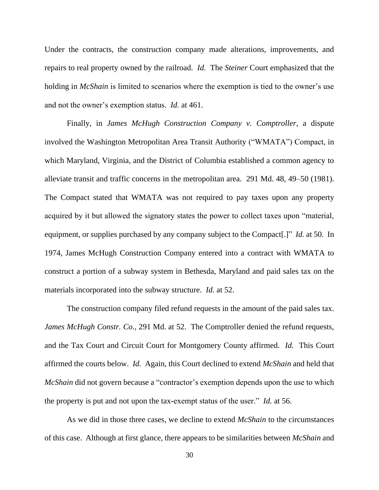Under the contracts, the construction company made alterations, improvements, and repairs to real property owned by the railroad. *Id.* The *Steiner* Court emphasized that the holding in *McShain* is limited to scenarios where the exemption is tied to the owner's use and not the owner's exemption status. *Id.* at 461.

Finally, in *James McHugh Construction Company v. Comptroller*, a dispute involved the Washington Metropolitan Area Transit Authority ("WMATA") Compact, in which Maryland, Virginia, and the District of Columbia established a common agency to alleviate transit and traffic concerns in the metropolitan area. 291 Md. 48, 49–50 (1981). The Compact stated that WMATA was not required to pay taxes upon any property acquired by it but allowed the signatory states the power to collect taxes upon "material, equipment, or supplies purchased by any company subject to the Compact[.]" *Id.* at 50. In 1974, James McHugh Construction Company entered into a contract with WMATA to construct a portion of a subway system in Bethesda, Maryland and paid sales tax on the materials incorporated into the subway structure. *Id.* at 52.

The construction company filed refund requests in the amount of the paid sales tax. *James McHugh Constr. Co.*, 291 Md. at 52. The Comptroller denied the refund requests, and the Tax Court and Circuit Court for Montgomery County affirmed. *Id.* This Court affirmed the courts below. *Id.* Again, this Court declined to extend *McShain* and held that *McShain* did not govern because a "contractor's exemption depends upon the use to which the property is put and not upon the tax-exempt status of the user." *Id.* at 56.

As we did in those three cases, we decline to extend *McShain* to the circumstances of this case. Although at first glance, there appears to be similarities between *McShain* and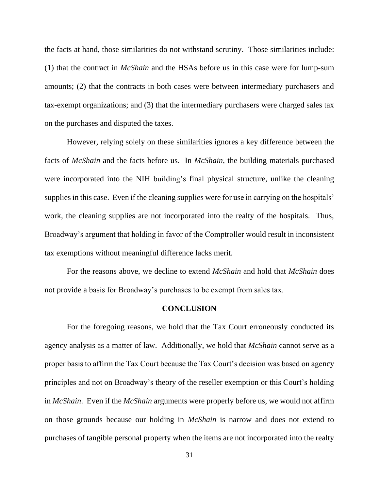the facts at hand, those similarities do not withstand scrutiny. Those similarities include: (1) that the contract in *McShain* and the HSAs before us in this case were for lump-sum amounts; (2) that the contracts in both cases were between intermediary purchasers and tax-exempt organizations; and (3) that the intermediary purchasers were charged sales tax on the purchases and disputed the taxes.

However, relying solely on these similarities ignores a key difference between the facts of *McShain* and the facts before us. In *McShain*, the building materials purchased were incorporated into the NIH building's final physical structure, unlike the cleaning supplies in this case. Even if the cleaning supplies were for use in carrying on the hospitals' work, the cleaning supplies are not incorporated into the realty of the hospitals. Thus, Broadway's argument that holding in favor of the Comptroller would result in inconsistent tax exemptions without meaningful difference lacks merit.

For the reasons above, we decline to extend *McShain* and hold that *McShain* does not provide a basis for Broadway's purchases to be exempt from sales tax.

#### **CONCLUSION**

For the foregoing reasons, we hold that the Tax Court erroneously conducted its agency analysis as a matter of law. Additionally, we hold that *McShain* cannot serve as a proper basis to affirm the Tax Court because the Tax Court's decision was based on agency principles and not on Broadway's theory of the reseller exemption or this Court's holding in *McShain*. Even if the *McShain* arguments were properly before us, we would not affirm on those grounds because our holding in *McShain* is narrow and does not extend to purchases of tangible personal property when the items are not incorporated into the realty